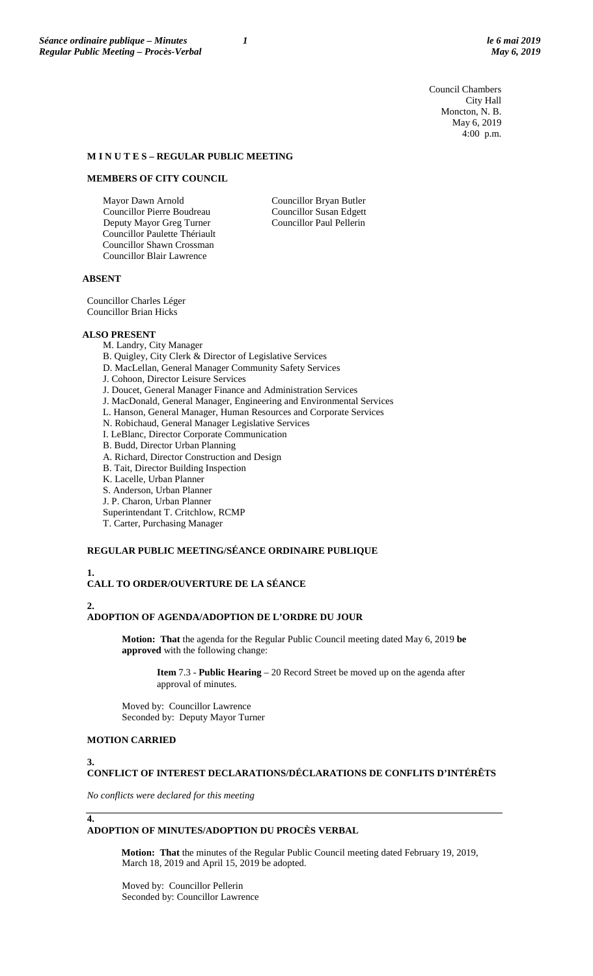Council Chambers City Hall Moncton, N. B. May 6, 2019 4:00 p.m.

# **M I N U T E S – REGULAR PUBLIC MEETING**

#### **MEMBERS OF CITY COUNCIL**

Mayor Dawn Arnold Councillor Pierre Boudreau Deputy Mayor Greg Turner Councillor Paulette Thériault Councillor Shawn Crossman Councillor Blair Lawrence

Councillor Bryan Butler Councillor Susan Edgett Councillor Paul Pellerin

### **ABSENT**

Councillor Charles Léger Councillor Brian Hicks

#### **ALSO PRESENT**

- M. Landry, City Manager
- B. Quigley, City Clerk & Director of Legislative Services
- D. MacLellan, General Manager Community Safety Services
- J. Cohoon, Director Leisure Services
- J. Doucet, General Manager Finance and Administration Services
- J. MacDonald, General Manager, Engineering and Environmental Services
- L. Hanson, General Manager, Human Resources and Corporate Services
- N. Robichaud, General Manager Legislative Services
- I. LeBlanc, Director Corporate Communication
- B. Budd, Director Urban Planning
- A. Richard, Director Construction and Design
- B. Tait, Director Building Inspection
- K. Lacelle, Urban Planner
- S. Anderson, Urban Planner
- J. P. Charon, Urban Planner
- Superintendant T. Critchlow, RCMP
- T. Carter, Purchasing Manager

# **REGULAR PUBLIC MEETING/SÉANCE ORDINAIRE PUBLIQUE**

# **1.**

# **CALL TO ORDER/OUVERTURE DE LA SÉANCE**

**2.**

#### **ADOPTION OF AGENDA/ADOPTION DE L'ORDRE DU JOUR**

**Motion: That** the agenda for the Regular Public Council meeting dated May 6, 2019 **be approved** with the following change:

**Item** 7.3 - **Public Hearing** – 20 Record Street be moved up on the agenda after approval of minutes.

Moved by: Councillor Lawrence Seconded by: Deputy Mayor Turner

# **MOTION CARRIED**

**3.**

# **CONFLICT OF INTEREST DECLARATIONS/DÉCLARATIONS DE CONFLITS D'INTÉRÊTS**

*No conflicts were declared for this meeting*

**4.**

# **ADOPTION OF MINUTES/ADOPTION DU PROCÈS VERBAL**

**Motion: That** the minutes of the Regular Public Council meeting dated February 19, 2019, March 18, 2019 and April 15, 2019 be adopted.

Moved by: Councillor Pellerin Seconded by: Councillor Lawrence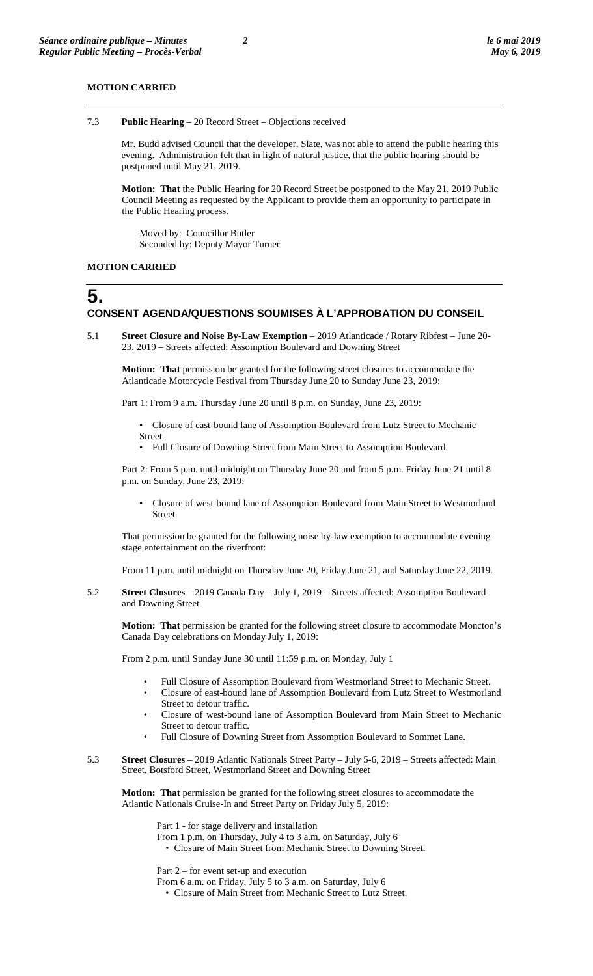#### **MOTION CARRIED**

Mr. Budd advised Council that the developer, Slate, was not able to attend the public hearing this evening. Administration felt that in light of natural justice, that the public hearing should be postponed until May 21, 2019.

**Motion: That** the Public Hearing for 20 Record Street be postponed to the May 21, 2019 Public Council Meeting as requested by the Applicant to provide them an opportunity to participate in the Public Hearing process.

Moved by: Councillor Butler Seconded by: Deputy Mayor Turner

#### **MOTION CARRIED**

# **5.**

**CONSENT AGENDA/QUESTIONS SOUMISES À L'APPROBATION DU CONSEIL**

5.1 **Street Closure and Noise By-Law Exemption** – 2019 Atlanticade / Rotary Ribfest – June 20- 23, 2019 – Streets affected: Assomption Boulevard and Downing Street

**Motion: That** permission be granted for the following street closures to accommodate the Atlanticade Motorcycle Festival from Thursday June 20 to Sunday June 23, 2019:

Part 1: From 9 a.m. Thursday June 20 until 8 p.m. on Sunday, June 23, 2019:

• Closure of east-bound lane of Assomption Boulevard from Lutz Street to Mechanic Street.

• Full Closure of Downing Street from Main Street to Assomption Boulevard.

Part 2: From 5 p.m. until midnight on Thursday June 20 and from 5 p.m. Friday June 21 until 8 p.m. on Sunday, June 23, 2019:

• Closure of west-bound lane of Assomption Boulevard from Main Street to Westmorland Street.

That permission be granted for the following noise by-law exemption to accommodate evening stage entertainment on the riverfront:

From 11 p.m. until midnight on Thursday June 20, Friday June 21, and Saturday June 22, 2019.

5.2 **Street Closures** – 2019 Canada Day – July 1, 2019 – Streets affected: Assomption Boulevard and Downing Street

**Motion: That** permission be granted for the following street closure to accommodate Moncton's Canada Day celebrations on Monday July 1, 2019:

From 2 p.m. until Sunday June 30 until 11:59 p.m. on Monday, July 1

- Full Closure of Assomption Boulevard from Westmorland Street to Mechanic Street.
- Closure of east-bound lane of Assomption Boulevard from Lutz Street to Westmorland Street to detour traffic.
- Closure of west-bound lane of Assomption Boulevard from Main Street to Mechanic Street to detour traffic.
- Full Closure of Downing Street from Assomption Boulevard to Sommet Lane.
- 5.3 **Street Closures** 2019 Atlantic Nationals Street Party July 5-6, 2019 Streets affected: Main Street, Botsford Street, Westmorland Street and Downing Street

**Motion: That** permission be granted for the following street closures to accommodate the Atlantic Nationals Cruise-In and Street Party on Friday July 5, 2019:

Part 1 - for stage delivery and installation

From 1 p.m. on Thursday, July 4 to 3 a.m. on Saturday, July 6 • Closure of Main Street from Mechanic Street to Downing Street.

Part 2 – for event set-up and execution

From 6 a.m. on Friday, July 5 to 3 a.m. on Saturday, July 6

• Closure of Main Street from Mechanic Street to Lutz Street.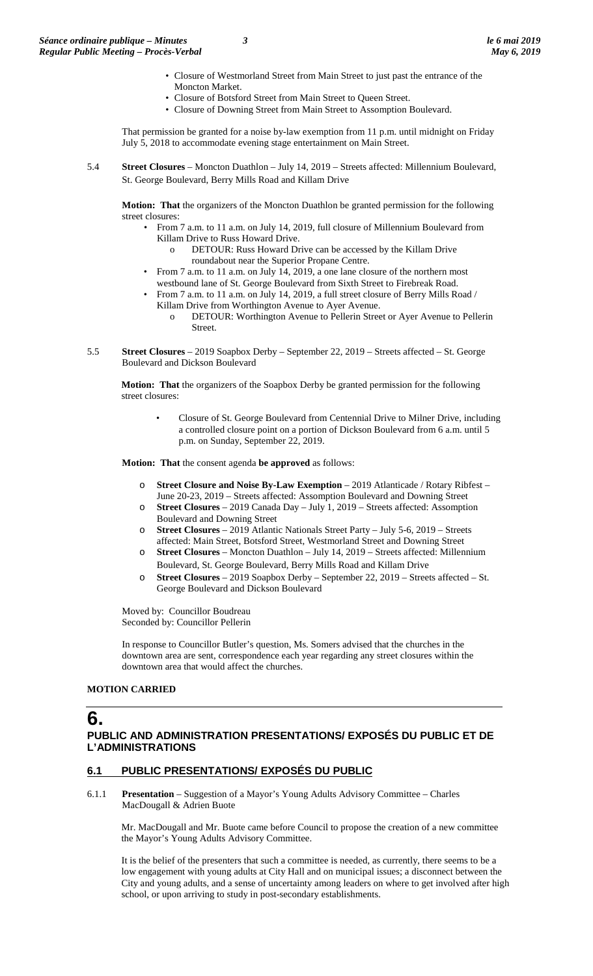- Closure of Westmorland Street from Main Street to just past the entrance of the Moncton Market.
- Closure of Botsford Street from Main Street to Queen Street.
- Closure of Downing Street from Main Street to Assomption Boulevard.

That permission be granted for a noise by-law exemption from 11 p.m. until midnight on Friday July 5, 2018 to accommodate evening stage entertainment on Main Street.

5.4 **Street Closures** – Moncton Duathlon – July 14, 2019 – Streets affected: Millennium Boulevard, St. George Boulevard, Berry Mills Road and Killam Drive

**Motion: That** the organizers of the Moncton Duathlon be granted permission for the following street closures:

- From 7 a.m. to 11 a.m. on July 14, 2019, full closure of Millennium Boulevard from Killam Drive to Russ Howard Drive.
	- DETOUR: Russ Howard Drive can be accessed by the Killam Drive roundabout near the Superior Propane Centre.
- From 7 a.m. to 11 a.m. on July 14, 2019, a one lane closure of the northern most westbound lane of St. George Boulevard from Sixth Street to Firebreak Road.
- From 7 a.m. to 11 a.m. on July 14, 2019, a full street closure of Berry Mills Road / Killam Drive from Worthington Avenue to Ayer Avenue.
	- o DETOUR: Worthington Avenue to Pellerin Street or Ayer Avenue to Pellerin Street.
- 5.5 **Street Closures**  2019 Soapbox Derby September 22, 2019 Streets affected St. George Boulevard and Dickson Boulevard

**Motion: That** the organizers of the Soapbox Derby be granted permission for the following street closures:

> • Closure of St. George Boulevard from Centennial Drive to Milner Drive, including a controlled closure point on a portion of Dickson Boulevard from 6 a.m. until 5 p.m. on Sunday, September 22, 2019.

**Motion: That** the consent agenda **be approved** as follows:

- o **Street Closure and Noise By-Law Exemption** 2019 Atlanticade / Rotary Ribfest June 20-23, 2019 – Streets affected: Assomption Boulevard and Downing Street
- o **Street Closures** 2019 Canada Day July 1, 2019 Streets affected: Assomption Boulevard and Downing Street
- o **Street Closures** 2019 Atlantic Nationals Street Party July 5-6, 2019 Streets affected: Main Street, Botsford Street, Westmorland Street and Downing Street
- Street Closures Moncton Duathlon July 14, 2019 Streets affected: Millennium Boulevard, St. George Boulevard, Berry Mills Road and Killam Drive
- o **Street Closures**  2019 Soapbox Derby September 22, 2019 Streets affected St. George Boulevard and Dickson Boulevard

Moved by: Councillor Boudreau Seconded by: Councillor Pellerin

In response to Councillor Butler's question, Ms. Somers advised that the churches in the downtown area are sent, correspondence each year regarding any street closures within the downtown area that would affect the churches.

# **MOTION CARRIED**

# **6.**

# **PUBLIC AND ADMINISTRATION PRESENTATIONS/ EXPOSÉS DU PUBLIC ET DE L'ADMINISTRATIONS**

# **6.1 PUBLIC PRESENTATIONS/ EXPOSÉS DU PUBLIC**

6.1.1 **Presentation** – Suggestion of a Mayor's Young Adults Advisory Committee – Charles MacDougall & Adrien Buote

Mr. MacDougall and Mr. Buote came before Council to propose the creation of a new committee the Mayor's Young Adults Advisory Committee.

It is the belief of the presenters that such a committee is needed, as currently, there seems to be a low engagement with young adults at City Hall and on municipal issues; a disconnect between the City and young adults, and a sense of uncertainty among leaders on where to get involved after high school, or upon arriving to study in post-secondary establishments.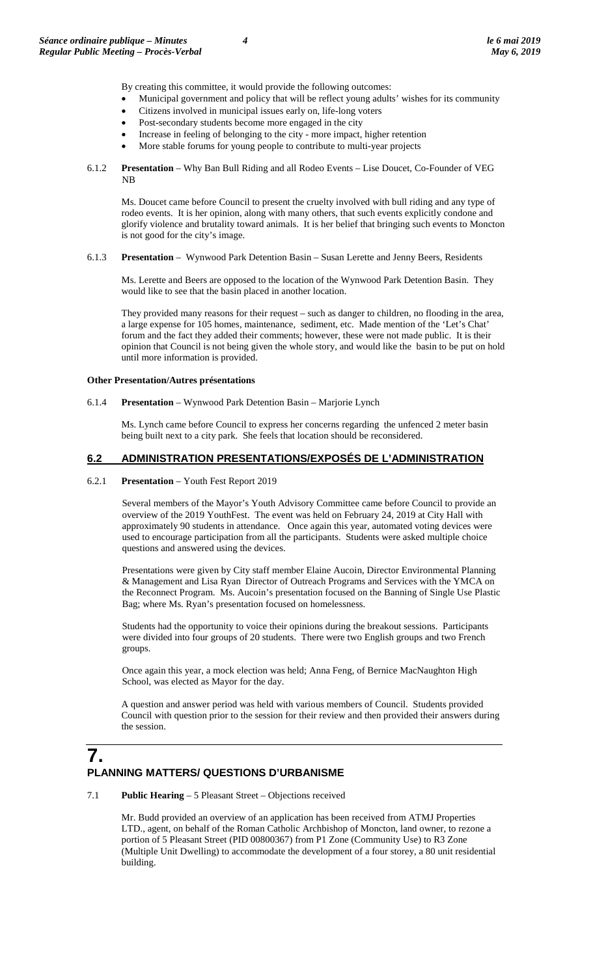By creating this committee, it would provide the following outcomes:

- Municipal government and policy that will be reflect young adults' wishes for its community
- Citizens involved in municipal issues early on, life-long voters
- Post-secondary students become more engaged in the city
- Increase in feeling of belonging to the city more impact, higher retention
- More stable forums for young people to contribute to multi-year projects
- 6.1.2 **Presentation**  Why Ban Bull Riding and all Rodeo Events Lise Doucet, Co-Founder of VEG NB

Ms. Doucet came before Council to present the cruelty involved with bull riding and any type of rodeo events. It is her opinion, along with many others, that such events explicitly condone and glorify violence and brutality toward animals. It is her belief that bringing such events to Moncton is not good for the city's image.

6.1.3 **Presentation** – Wynwood Park Detention Basin – Susan Lerette and Jenny Beers, Residents

Ms. Lerette and Beers are opposed to the location of the Wynwood Park Detention Basin. They would like to see that the basin placed in another location.

They provided many reasons for their request – such as danger to children, no flooding in the area, a large expense for 105 homes, maintenance, sediment, etc. Made mention of the 'Let's Chat' forum and the fact they added their comments; however, these were not made public. It is their opinion that Council is not being given the whole story, and would like the basin to be put on hold until more information is provided.

#### **Other Presentation/Autres présentations**

6.1.4 **Presentation** – Wynwood Park Detention Basin – Marjorie Lynch

Ms. Lynch came before Council to express her concerns regarding the unfenced 2 meter basin being built next to a city park. She feels that location should be reconsidered.

# **6.2 ADMINISTRATION PRESENTATIONS/EXPOSÉS DE L'ADMINISTRATION**

#### 6.2.1 **Presentation** – Youth Fest Report 2019

Several members of the Mayor's Youth Advisory Committee came before Council to provide an overview of the 2019 YouthFest. The event was held on February 24, 2019 at City Hall with approximately 90 students in attendance. Once again this year, automated voting devices were used to encourage participation from all the participants. Students were asked multiple choice questions and answered using the devices.

Presentations were given by City staff member Elaine Aucoin, Director Environmental Planning & Management and Lisa Ryan Director of Outreach Programs and Services with the YMCA on the Reconnect Program. Ms. Aucoin's presentation focused on the Banning of Single Use Plastic Bag; where Ms. Ryan's presentation focused on homelessness.

Students had the opportunity to voice their opinions during the breakout sessions. Participants were divided into four groups of 20 students. There were two English groups and two French groups.

Once again this year, a mock election was held; Anna Feng, of Bernice MacNaughton High School, was elected as Mayor for the day.

A question and answer period was held with various members of Council. Students provided Council with question prior to the session for their review and then provided their answers during the session.

# **7. PLANNING MATTERS/ QUESTIONS D'URBANISME**

7.1 **Public Hearing** – 5 Pleasant Street – Objections received

Mr. Budd provided an overview of an application has been received from ATMJ Properties LTD., agent, on behalf of the Roman Catholic Archbishop of Moncton, land owner, to rezone a portion of 5 Pleasant Street (PID 00800367) from P1 Zone (Community Use) to R3 Zone (Multiple Unit Dwelling) to accommodate the development of a four storey, a 80 unit residential building.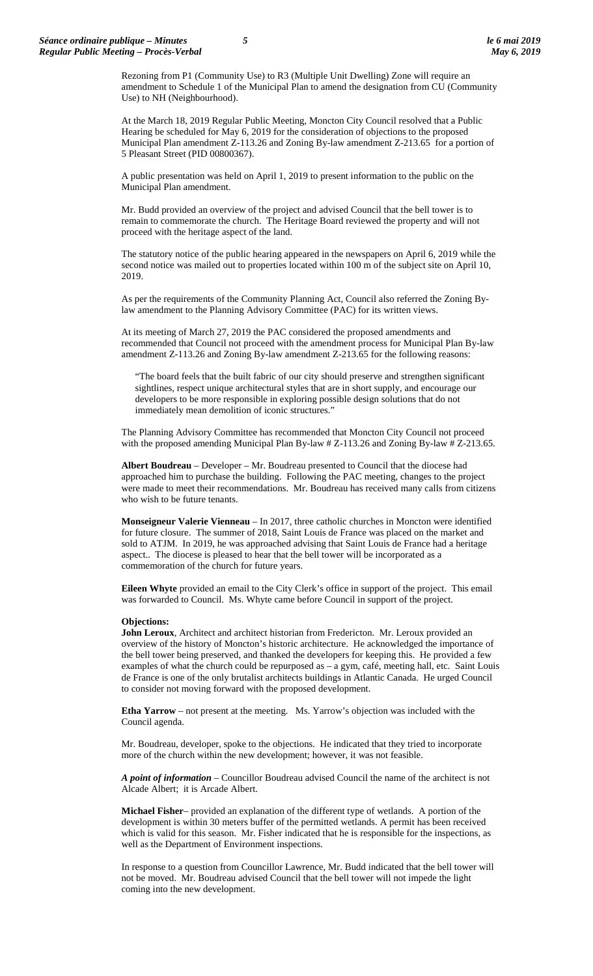Rezoning from P1 (Community Use) to R3 (Multiple Unit Dwelling) Zone will require an amendment to Schedule 1 of the Municipal Plan to amend the designation from CU (Community Use) to NH (Neighbourhood).

At the March 18, 2019 Regular Public Meeting, Moncton City Council resolved that a Public Hearing be scheduled for May 6, 2019 for the consideration of objections to the proposed Municipal Plan amendment Z-113.26 and Zoning By-law amendment Z-213.65 for a portion of 5 Pleasant Street (PID 00800367).

A public presentation was held on April 1, 2019 to present information to the public on the Municipal Plan amendment.

Mr. Budd provided an overview of the project and advised Council that the bell tower is to remain to commemorate the church. The Heritage Board reviewed the property and will not proceed with the heritage aspect of the land.

The statutory notice of the public hearing appeared in the newspapers on April 6, 2019 while the second notice was mailed out to properties located within 100 m of the subject site on April 10, 2019.

As per the requirements of the Community Planning Act, Council also referred the Zoning Bylaw amendment to the Planning Advisory Committee (PAC) for its written views.

At its meeting of March 27, 2019 the PAC considered the proposed amendments and recommended that Council not proceed with the amendment process for Municipal Plan By-law amendment Z-113.26 and Zoning By-law amendment Z-213.65 for the following reasons:

"The board feels that the built fabric of our city should preserve and strengthen significant sightlines, respect unique architectural styles that are in short supply, and encourage our developers to be more responsible in exploring possible design solutions that do not immediately mean demolition of iconic structures."

The Planning Advisory Committee has recommended that Moncton City Council not proceed with the proposed amending Municipal Plan By-law # Z-113.26 and Zoning By-law # Z-213.65.

**Albert Boudreau** – Developer – Mr. Boudreau presented to Council that the diocese had approached him to purchase the building. Following the PAC meeting, changes to the project were made to meet their recommendations. Mr. Boudreau has received many calls from citizens who wish to be future tenants.

**Monseigneur Valerie Vienneau** – In 2017, three catholic churches in Moncton were identified for future closure. The summer of 2018, Saint Louis de France was placed on the market and sold to ATJM. In 2019, he was approached advising that Saint Louis de France had a heritage aspect.. The diocese is pleased to hear that the bell tower will be incorporated as a commemoration of the church for future years.

**Eileen Whyte** provided an email to the City Clerk's office in support of the project. This email was forwarded to Council. Ms. Whyte came before Council in support of the project.

#### **Objections:**

**John Leroux**, Architect and architect historian from Fredericton. Mr. Leroux provided an overview of the history of Moncton's historic architecture. He acknowledged the importance of the bell tower being preserved, and thanked the developers for keeping this. He provided a few examples of what the church could be repurposed as – a gym, café, meeting hall, etc. Saint Louis de France is one of the only brutalist architects buildings in Atlantic Canada. He urged Council to consider not moving forward with the proposed development.

**Etha Yarrow** – not present at the meeting. Ms. Yarrow's objection was included with the Council agenda.

Mr. Boudreau, developer, spoke to the objections. He indicated that they tried to incorporate more of the church within the new development; however, it was not feasible.

*A point of information* – Councillor Boudreau advised Council the name of the architect is not Alcade Albert; it is Arcade Albert.

**Michael Fisher**– provided an explanation of the different type of wetlands. A portion of the development is within 30 meters buffer of the permitted wetlands. A permit has been received which is valid for this season. Mr. Fisher indicated that he is responsible for the inspections, as well as the Department of Environment inspections.

In response to a question from Councillor Lawrence, Mr. Budd indicated that the bell tower will not be moved. Mr. Boudreau advised Council that the bell tower will not impede the light coming into the new development.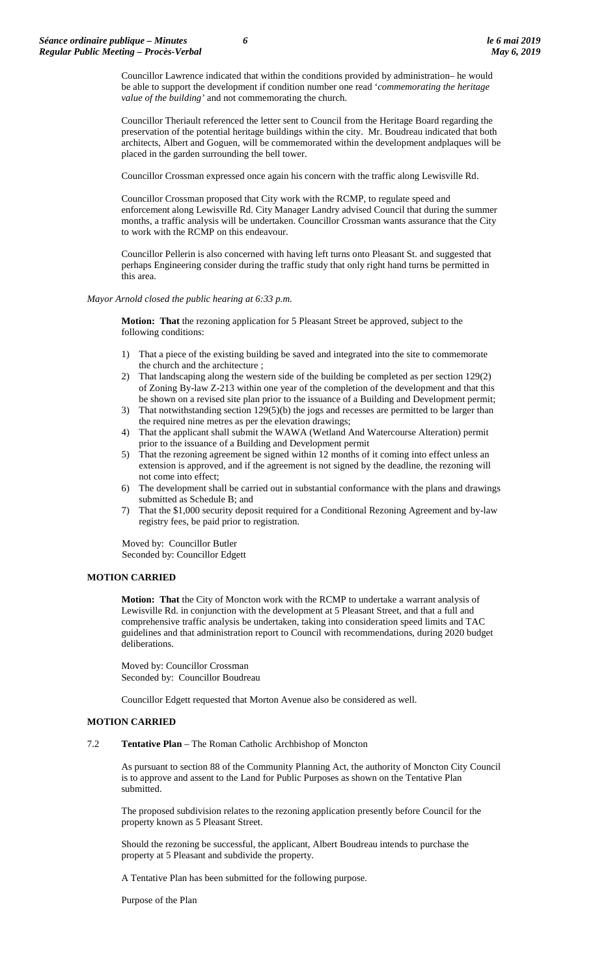Councillor Lawrence indicated that within the conditions provided by administration– he would be able to support the development if condition number one read '*commemorating the heritage value of the building'* and not commemorating the church.

Councillor Theriault referenced the letter sent to Council from the Heritage Board regarding the preservation of the potential heritage buildings within the city. Mr. Boudreau indicated that both architects, Albert and Goguen, will be commemorated within the development andplaques will be placed in the garden surrounding the bell tower.

Councillor Crossman expressed once again his concern with the traffic along Lewisville Rd.

Councillor Crossman proposed that City work with the RCMP, to regulate speed and enforcement along Lewisville Rd. City Manager Landry advised Council that during the summer months, a traffic analysis will be undertaken. Councillor Crossman wants assurance that the City to work with the RCMP on this endeavour.

Councillor Pellerin is also concerned with having left turns onto Pleasant St. and suggested that perhaps Engineering consider during the traffic study that only right hand turns be permitted in this area.

*Mayor Arnold closed the public hearing at 6:33 p.m.*

**Motion: That** the rezoning application for 5 Pleasant Street be approved, subject to the following conditions:

- 1) That a piece of the existing building be saved and integrated into the site to commemorate the church and the architecture ;
- 2) That landscaping along the western side of the building be completed as per section 129(2) of Zoning By-law Z-213 within one year of the completion of the development and that this be shown on a revised site plan prior to the issuance of a Building and Development permit;
- 3) That notwithstanding section 129(5)(b) the jogs and recesses are permitted to be larger than the required nine metres as per the elevation drawings;
- 4) That the applicant shall submit the WAWA (Wetland And Watercourse Alteration) permit prior to the issuance of a Building and Development permit
- 5) That the rezoning agreement be signed within 12 months of it coming into effect unless an extension is approved, and if the agreement is not signed by the deadline, the rezoning will not come into effect;
- 6) The development shall be carried out in substantial conformance with the plans and drawings submitted as Schedule B; and
- 7) That the \$1,000 security deposit required for a Conditional Rezoning Agreement and by-law registry fees, be paid prior to registration.

Moved by: Councillor Butler Seconded by: Councillor Edgett

# **MOTION CARRIED**

**Motion: That** the City of Moncton work with the RCMP to undertake a warrant analysis of Lewisville Rd. in conjunction with the development at 5 Pleasant Street, and that a full and comprehensive traffic analysis be undertaken, taking into consideration speed limits and TAC guidelines and that administration report to Council with recommendations, during 2020 budget deliberations.

Moved by: Councillor Crossman Seconded by: Councillor Boudreau

Councillor Edgett requested that Morton Avenue also be considered as well.

# **MOTION CARRIED**

#### 7.2 **Tentative Plan** – The Roman Catholic Archbishop of Moncton

As pursuant to section 88 of the Community Planning Act, the authority of Moncton City Council is to approve and assent to the Land for Public Purposes as shown on the Tentative Plan submitted.

The proposed subdivision relates to the rezoning application presently before Council for the property known as 5 Pleasant Street.

Should the rezoning be successful, the applicant, Albert Boudreau intends to purchase the property at 5 Pleasant and subdivide the property.

A Tentative Plan has been submitted for the following purpose.

Purpose of the Plan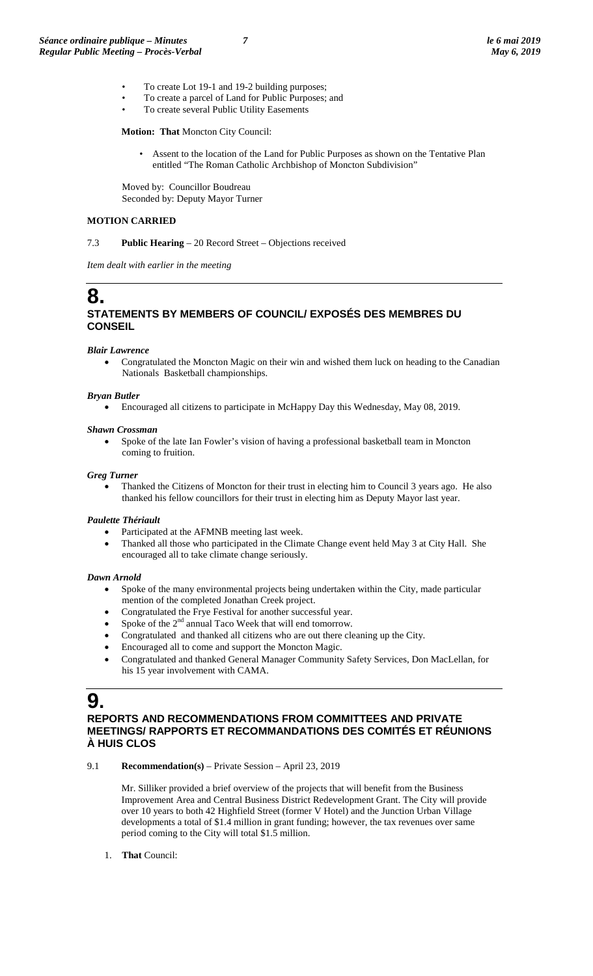- To create Lot 19-1 and 19-2 building purposes;
- To create a parcel of Land for Public Purposes; and
- To create several Public Utility Easements

**Motion: That** Moncton City Council:

• Assent to the location of the Land for Public Purposes as shown on the Tentative Plan entitled "The Roman Catholic Archbishop of Moncton Subdivision"

Moved by: Councillor Boudreau Seconded by: Deputy Mayor Turner

# **MOTION CARRIED**

7.3 **Public Hearing** – 20 Record Street – Objections received

*Item dealt with earlier in the meeting*

# **8. STATEMENTS BY MEMBERS OF COUNCIL/ EXPOSÉS DES MEMBRES DU CONSEIL**

#### *Blair Lawrence*

• Congratulated the Moncton Magic on their win and wished them luck on heading to the Canadian Nationals Basketball championships.

#### *Bryan Butler*

• Encouraged all citizens to participate in McHappy Day this Wednesday, May 08, 2019.

#### *Shawn Crossman*

• Spoke of the late Ian Fowler's vision of having a professional basketball team in Moncton coming to fruition.

#### *Greg Turner*

• Thanked the Citizens of Moncton for their trust in electing him to Council 3 years ago. He also thanked his fellow councillors for their trust in electing him as Deputy Mayor last year.

#### *Paulette Thériault*

- Participated at the AFMNB meeting last week.
- Thanked all those who participated in the Climate Change event held May 3 at City Hall. She encouraged all to take climate change seriously.

#### *Dawn Arnold*

- Spoke of the many environmental projects being undertaken within the City, made particular mention of the completed Jonathan Creek project.
- Congratulated the Frye Festival for another successful year.
- Spoke of the  $2<sup>nd</sup>$  annual Taco Week that will end tomorrow.
- Congratulated and thanked all citizens who are out there cleaning up the City.
- Encouraged all to come and support the Moncton Magic.
- Congratulated and thanked General Manager Community Safety Services, Don MacLellan, for his 15 year involvement with CAMA.

# **9.**

# **REPORTS AND RECOMMENDATIONS FROM COMMITTEES AND PRIVATE MEETINGS/ RAPPORTS ET RECOMMANDATIONS DES COMITÉS ET RÉUNIONS À HUIS CLOS**

#### 9.1 **Recommendation(s)** – Private Session – April 23, 2019

Mr. Silliker provided a brief overview of the projects that will benefit from the Business Improvement Area and Central Business District Redevelopment Grant. The City will provide over 10 years to both 42 Highfield Street (former V Hotel) and the Junction Urban Village developments a total of \$1.4 million in grant funding; however, the tax revenues over same period coming to the City will total \$1.5 million.

1. **That** Council: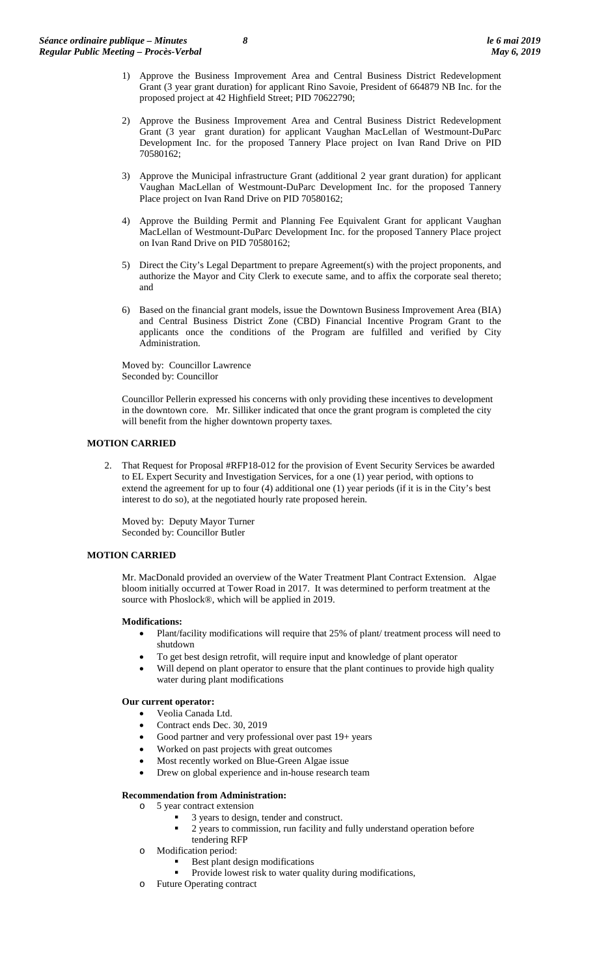- 1) Approve the Business Improvement Area and Central Business District Redevelopment Grant (3 year grant duration) for applicant Rino Savoie, President of 664879 NB Inc. for the proposed project at 42 Highfield Street; PID 70622790;
- 2) Approve the Business Improvement Area and Central Business District Redevelopment Grant (3 year grant duration) for applicant Vaughan MacLellan of Westmount-DuParc Development Inc. for the proposed Tannery Place project on Ivan Rand Drive on PID 70580162;
- 3) Approve the Municipal infrastructure Grant (additional 2 year grant duration) for applicant Vaughan MacLellan of Westmount-DuParc Development Inc. for the proposed Tannery Place project on Ivan Rand Drive on PID 70580162;
- 4) Approve the Building Permit and Planning Fee Equivalent Grant for applicant Vaughan MacLellan of Westmount-DuParc Development Inc. for the proposed Tannery Place project on Ivan Rand Drive on PID 70580162;
- 5) Direct the City's Legal Department to prepare Agreement(s) with the project proponents, and authorize the Mayor and City Clerk to execute same, and to affix the corporate seal thereto; and
- 6) Based on the financial grant models, issue the Downtown Business Improvement Area (BIA) and Central Business District Zone (CBD) Financial Incentive Program Grant to the applicants once the conditions of the Program are fulfilled and verified by City Administration.

Moved by: Councillor Lawrence Seconded by: Councillor

Councillor Pellerin expressed his concerns with only providing these incentives to development in the downtown core. Mr. Silliker indicated that once the grant program is completed the city will benefit from the higher downtown property taxes.

# **MOTION CARRIED**

2. That Request for Proposal #RFP18-012 for the provision of Event Security Services be awarded to EL Expert Security and Investigation Services, for a one (1) year period, with options to extend the agreement for up to four (4) additional one (1) year periods (if it is in the City's best interest to do so), at the negotiated hourly rate proposed herein.

Moved by: Deputy Mayor Turner Seconded by: Councillor Butler

# **MOTION CARRIED**

Mr. MacDonald provided an overview of the Water Treatment Plant Contract Extension. Algae bloom initially occurred at Tower Road in 2017. It was determined to perform treatment at the source with Phoslock®, which will be applied in 2019.

#### **Modifications:**

- Plant/facility modifications will require that 25% of plant/ treatment process will need to shutdown
- To get best design retrofit, will require input and knowledge of plant operator
- Will depend on plant operator to ensure that the plant continues to provide high quality water during plant modifications

### **Our current operator:**

- Veolia Canada Ltd.
- Contract ends Dec. 30, 2019
- Good partner and very professional over past 19+ years
- Worked on past projects with great outcomes
- Most recently worked on Blue-Green Algae issue
- Drew on global experience and in-house research team

# **Recommendation from Administration:**

- o 5 year contract extension
	- 3 years to design, tender and construct.
	- 2 years to commission, run facility and fully understand operation before tendering RFP
- o Modification period:
	- Best plant design modifications
	- Provide lowest risk to water quality during modifications,
- o Future Operating contract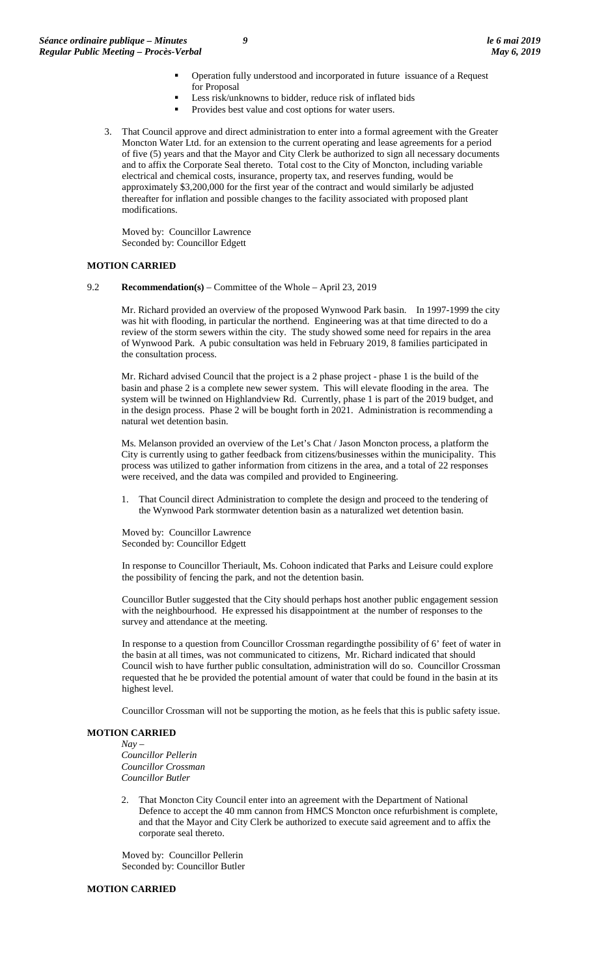- Operation fully understood and incorporated in future issuance of a Request for Proposal
- Less risk/unknowns to bidder, reduce risk of inflated bids
- Provides best value and cost options for water users.
- 3. That Council approve and direct administration to enter into a formal agreement with the Greater Moncton Water Ltd. for an extension to the current operating and lease agreements for a period of five (5) years and that the Mayor and City Clerk be authorized to sign all necessary documents and to affix the Corporate Seal thereto. Total cost to the City of Moncton, including variable electrical and chemical costs, insurance, property tax, and reserves funding, would be approximately \$3,200,000 for the first year of the contract and would similarly be adjusted thereafter for inflation and possible changes to the facility associated with proposed plant modifications.

Moved by: Councillor Lawrence Seconded by: Councillor Edgett

#### **MOTION CARRIED**

9.2 **Recommendation(s)** – Committee of the Whole – April 23, 2019

Mr. Richard provided an overview of the proposed Wynwood Park basin. In 1997-1999 the city was hit with flooding, in particular the northend. Engineering was at that time directed to do a review of the storm sewers within the city. The study showed some need for repairs in the area of Wynwood Park. A pubic consultation was held in February 2019, 8 families participated in the consultation process.

Mr. Richard advised Council that the project is a 2 phase project - phase 1 is the build of the basin and phase 2 is a complete new sewer system. This will elevate flooding in the area. The system will be twinned on Highlandview Rd. Currently, phase 1 is part of the 2019 budget, and in the design process. Phase 2 will be bought forth in 2021. Administration is recommending a natural wet detention basin.

Ms. Melanson provided an overview of the Let's Chat / Jason Moncton process, a platform the City is currently using to gather feedback from citizens/businesses within the municipality. This process was utilized to gather information from citizens in the area, and a total of 22 responses were received, and the data was compiled and provided to Engineering.

1. That Council direct Administration to complete the design and proceed to the tendering of the Wynwood Park stormwater detention basin as a naturalized wet detention basin.

Moved by: Councillor Lawrence Seconded by: Councillor Edgett

In response to Councillor Theriault, Ms. Cohoon indicated that Parks and Leisure could explore the possibility of fencing the park, and not the detention basin.

Councillor Butler suggested that the City should perhaps host another public engagement session with the neighbourhood. He expressed his disappointment at the number of responses to the survey and attendance at the meeting.

In response to a question from Councillor Crossman regardingthe possibility of 6' feet of water in the basin at all times, was not communicated to citizens, Mr. Richard indicated that should Council wish to have further public consultation, administration will do so. Councillor Crossman requested that he be provided the potential amount of water that could be found in the basin at its highest level.

Councillor Crossman will not be supporting the motion, as he feels that this is public safety issue.

# **MOTION CARRIED**

*Nay – Councillor Pellerin Councillor Crossman Councillor Butler*

That Moncton City Council enter into an agreement with the Department of National Defence to accept the 40 mm cannon from HMCS Moncton once refurbishment is complete, and that the Mayor and City Clerk be authorized to execute said agreement and to affix the corporate seal thereto.

Moved by: Councillor Pellerin Seconded by: Councillor Butler

#### **MOTION CARRIED**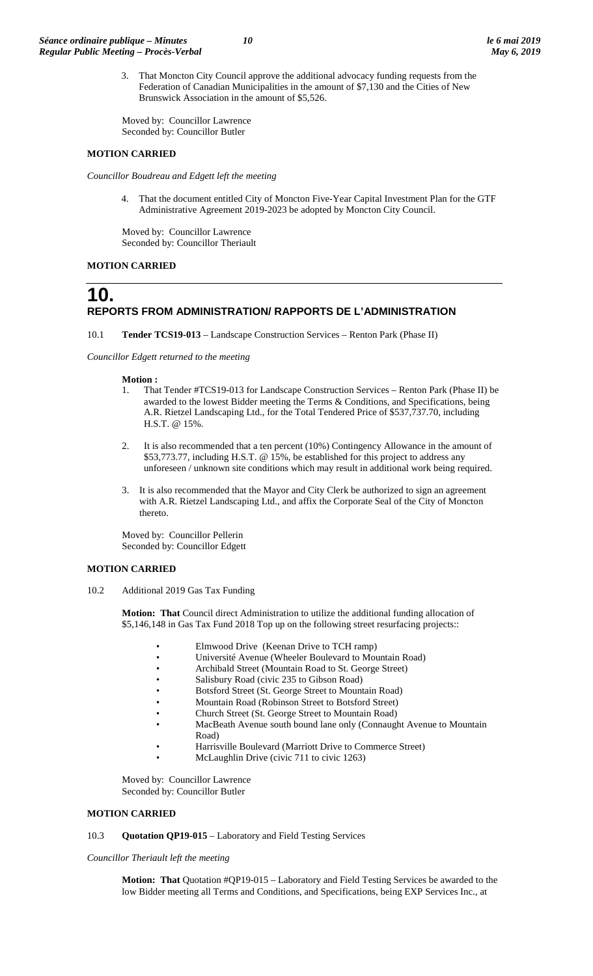3. That Moncton City Council approve the additional advocacy funding requests from the Federation of Canadian Municipalities in the amount of \$7,130 and the Cities of New Brunswick Association in the amount of \$5,526.

Moved by: Councillor Lawrence Seconded by: Councillor Butler

#### **MOTION CARRIED**

*Councillor Boudreau and Edgett left the meeting*

4. That the document entitled City of Moncton Five-Year Capital Investment Plan for the GTF Administrative Agreement 2019-2023 be adopted by Moncton City Council.

Moved by: Councillor Lawrence Seconded by: Councillor Theriault

#### **MOTION CARRIED**

# **10. REPORTS FROM ADMINISTRATION/ RAPPORTS DE L'ADMINISTRATION**

10.1 **Tender TCS19-013** – Landscape Construction Services – Renton Park (Phase II)

*Councillor Edgett returned to the meeting* 

#### **Motion :**

- 1. That Tender #TCS19-013 for Landscape Construction Services Renton Park (Phase II) be awarded to the lowest Bidder meeting the Terms & Conditions, and Specifications, being A.R. Rietzel Landscaping Ltd., for the Total Tendered Price of \$537,737.70, including H.S.T. @ 15%.
- 2. It is also recommended that a ten percent (10%) Contingency Allowance in the amount of \$53,773.77, including H.S.T. @ 15%, be established for this project to address any unforeseen / unknown site conditions which may result in additional work being required.
- 3. It is also recommended that the Mayor and City Clerk be authorized to sign an agreement with A.R. Rietzel Landscaping Ltd., and affix the Corporate Seal of the City of Moncton thereto.

Moved by: Councillor Pellerin Seconded by: Councillor Edgett

#### **MOTION CARRIED**

10.2 Additional 2019 Gas Tax Funding

**Motion: That** Council direct Administration to utilize the additional funding allocation of \$5,146,148 in Gas Tax Fund 2018 Top up on the following street resurfacing projects::

- Elmwood Drive (Keenan Drive to TCH ramp)
- Université Avenue (Wheeler Boulevard to Mountain Road)
- Archibald Street (Mountain Road to St. George Street)
- Salisbury Road (civic 235 to Gibson Road)
- Botsford Street (St. George Street to Mountain Road)<br>• Mountain Road (Robinson Street to Botsford Street)
	- Mountain Road (Robinson Street to Botsford Street)
- Church Street (St. George Street to Mountain Road)
- MacBeath Avenue south bound lane only (Connaught Avenue to Mountain Road)
- Harrisville Boulevard (Marriott Drive to Commerce Street)
- McLaughlin Drive (civic 711 to civic 1263)

Moved by: Councillor Lawrence Seconded by: Councillor Butler

#### **MOTION CARRIED**

#### 10.3 **Quotation QP19-015** – Laboratory and Field Testing Services

*Councillor Theriault left the meeting* 

**Motion: That** Quotation #QP19-015 – Laboratory and Field Testing Services be awarded to the low Bidder meeting all Terms and Conditions, and Specifications, being EXP Services Inc., at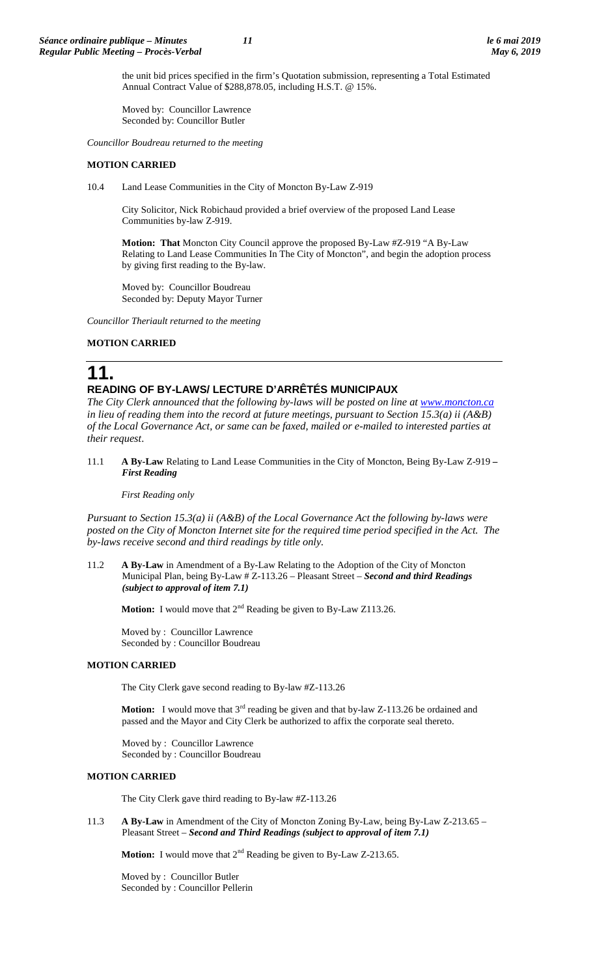the unit bid prices specified in the firm's Quotation submission, representing a Total Estimated Annual Contract Value of \$288,878.05, including H.S.T. @ 15%.

Moved by: Councillor Lawrence Seconded by: Councillor Butler

*Councillor Boudreau returned to the meeting*

# **MOTION CARRIED**

10.4 Land Lease Communities in the City of Moncton By-Law Z-919

City Solicitor, Nick Robichaud provided a brief overview of the proposed Land Lease Communities by-law Z-919.

**Motion: That** Moncton City Council approve the proposed By-Law #Z-919 "A By-Law Relating to Land Lease Communities In The City of Moncton", and begin the adoption process by giving first reading to the By-law.

Moved by: Councillor Boudreau Seconded by: Deputy Mayor Turner

*Councillor Theriault returned to the meeting*

# **MOTION CARRIED**

**11.**

# **READING OF BY-LAWS/ LECTURE D'ARRÊTÉS MUNICIPAUX**

*The City Clerk announced that the following by-laws will be posted on line at [www.moncton.ca](http://www.moncton.ca/) in lieu of reading them into the record at future meetings, pursuant to Section 15.3(a) ii (A&B) of the Local Governance Act, or same can be faxed, mailed or e-mailed to interested parties at their request*.

11.1 **A By-Law** Relating to Land Lease Communities in the City of Moncton, Being By-Law Z-919 *– First Reading*

#### *First Reading only*

*Pursuant to Section 15.3(a) ii (A&B) of the Local Governance Act the following by-laws were posted on the City of Moncton Internet site for the required time period specified in the Act. The by-laws receive second and third readings by title only.*

11.2 **A By-Law** in Amendment of a By-Law Relating to the Adoption of the City of Moncton Municipal Plan, being By-Law # Z-113.26 – Pleasant Street – *Second and third Readings (subject to approval of item 7.1)*

**Motion:** I would move that 2<sup>nd</sup> Reading be given to By-Law Z113.26.

Moved by : Councillor Lawrence Seconded by : Councillor Boudreau

#### **MOTION CARRIED**

The City Clerk gave second reading to By-law #Z-113.26

**Motion:** I would move that 3<sup>rd</sup> reading be given and that by-law Z-113.26 be ordained and passed and the Mayor and City Clerk be authorized to affix the corporate seal thereto.

Moved by : Councillor Lawrence Seconded by : Councillor Boudreau

#### **MOTION CARRIED**

The City Clerk gave third reading to By-law #Z-113.26

11.3 **A By-Law** in Amendment of the City of Moncton Zoning By-Law, being By-Law Z-213.65 – Pleasant Street – *Second and Third Readings (subject to approval of item 7.1)*

**Motion:** I would move that  $2^{nd}$  Reading be given to By-Law Z-213.65.

Moved by : Councillor Butler Seconded by : Councillor Pellerin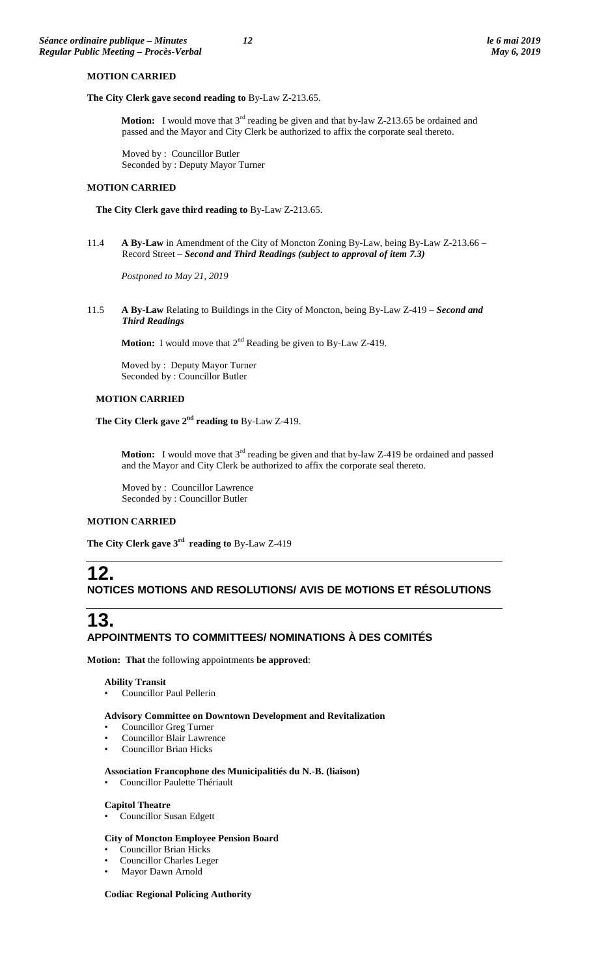# **MOTION CARRIED**

#### **The City Clerk gave second reading to** By-Law Z-213.65.

**Motion:** I would move that 3<sup>rd</sup> reading be given and that by-law Z-213.65 be ordained and passed and the Mayor and City Clerk be authorized to affix the corporate seal thereto.

Moved by : Councillor Butler Seconded by : Deputy Mayor Turner

#### **MOTION CARRIED**

**The City Clerk gave third reading to** By-Law Z-213.65.

11.4 **A By-Law** in Amendment of the City of Moncton Zoning By-Law, being By-Law Z-213.66 – Record Street – *Second and Third Readings (subject to approval of item 7.3)*

*Postponed to May 21, 2019*

11.5 **A By-Law** Relating to Buildings in the City of Moncton, being By-Law Z-419 – *Second and Third Readings*

**Motion:** I would move that  $2^{nd}$  Reading be given to By-Law Z-419.

Moved by : Deputy Mayor Turner Seconded by : Councillor Butler

#### **MOTION CARRIED**

**The City Clerk gave 2nd reading to** By-Law Z-419.

**Motion:** I would move that 3<sup>rd</sup> reading be given and that by-law Z-419 be ordained and passed and the Mayor and City Clerk be authorized to affix the corporate seal thereto.

Moved by : Councillor Lawrence Seconded by : Councillor Butler

# **MOTION CARRIED**

**The City Clerk gave 3rd reading to** By-Law Z-419

# **12. NOTICES MOTIONS AND RESOLUTIONS/ AVIS DE MOTIONS ET RÉSOLUTIONS**

# **13. APPOINTMENTS TO COMMITTEES/ NOMINATIONS À DES COMITÉS**

**Motion: That** the following appointments **be approved**:

#### **Ability Transit**

• Councillor Paul Pellerin

# **Advisory Committee on Downtown Development and Revitalization**

- Councillor Greg Turner
- Councillor Blair Lawrence
- Councillor Brian Hicks

### **Association Francophone des Municipalitiés du N.-B. (liaison)**

• Councillor Paulette Thériault

# **Capitol Theatre**

• Councillor Susan Edgett

#### **City of Moncton Employee Pension Board**

- Councillor Brian Hicks
- Councillor Charles Leger
- Mayor Dawn Arnold

#### **Codiac Regional Policing Authority**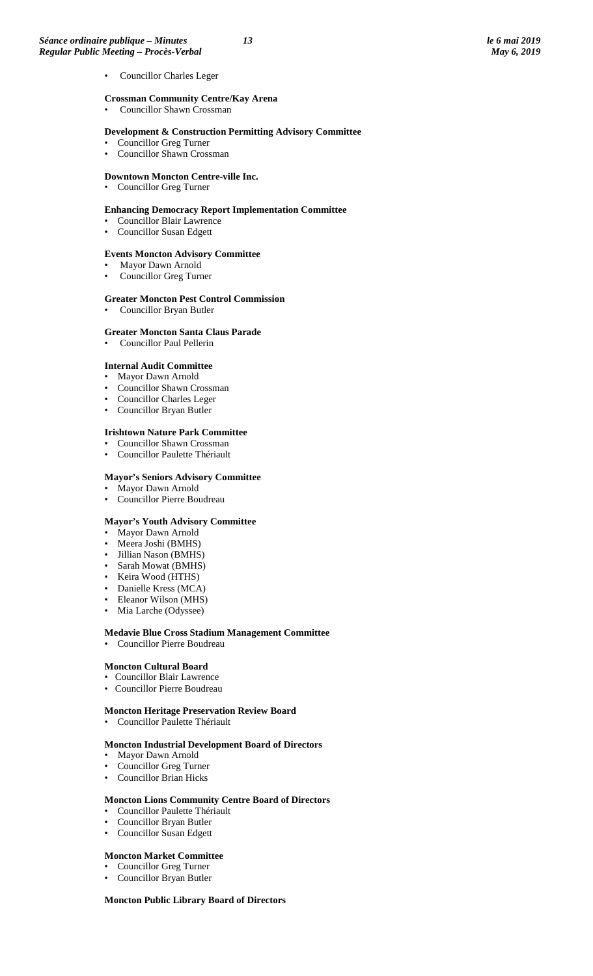Councillor Charles Leger

#### **Crossman Community Centre/Kay Arena**

• Councillor Shawn Crossman

#### **Development & Construction Permitting Advisory Committee**

- Councillor Greg Turner
- Councillor Shawn Crossman

#### **Downtown Moncton Centre-ville Inc.**

• Councillor Greg Turner

#### **Enhancing Democracy Report Implementation Committee**

- Councillor Blair Lawrence
- Councillor Susan Edgett

#### **Events Moncton Advisory Committee**

- Mayor Dawn Arnold
- Councillor Greg Turner

#### **Greater Moncton Pest Control Commission**

• Councillor Bryan Butler

#### **Greater Moncton Santa Claus Parade**

• Councillor Paul Pellerin

#### **Internal Audit Committee**

- Mayor Dawn Arnold
- Councillor Shawn Crossman
- Councillor Charles Leger
- Councillor Bryan Butler

#### **Irishtown Nature Park Committee**

- Councillor Shawn Crossman
- Councillor Paulette Thériault

#### **Mayor's Seniors Advisory Committee**

- Mayor Dawn Arnold
- Councillor Pierre Boudreau

# **Mayor's Youth Advisory Committee**

- Mayor Dawn Arnold
- Meera Joshi (BMHS)
- Jillian Nason (BMHS)
- Sarah Mowat (BMHS)
- Keira Wood (HTHS)
- Danielle Kress (MCA)
- Eleanor Wilson (MHS)
- Mia Larche (Odyssee)

#### **Medavie Blue Cross Stadium Management Committee** • Councillor Pierre Boudreau

#### **Moncton Cultural Board**

- Councillor Blair Lawrence
- Councillor Pierre Boudreau

#### **Moncton Heritage Preservation Review Board**

• Councillor Paulette Thériault

#### **Moncton Industrial Development Board of Directors**

- Mayor Dawn Arnold
- Councillor Greg Turner
- Councillor Brian Hicks

#### **Moncton Lions Community Centre Board of Directors**

- Councillor Paulette Thériault
- Councillor Bryan Butler
- Councillor Susan Edgett

#### **Moncton Market Committee**

- Councillor Greg Turner
- Councillor Bryan Butler

#### **Moncton Public Library Board of Directors**